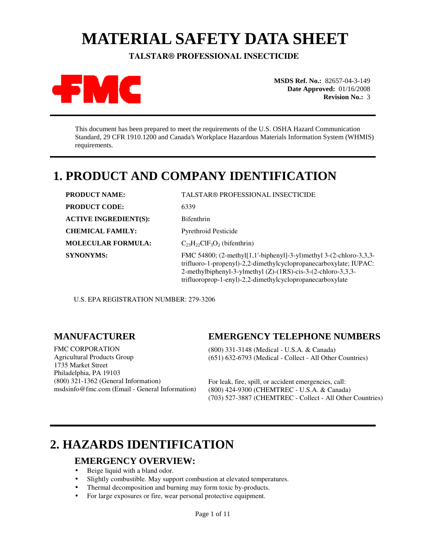# **MATERIAL SAFETY DATA SHEET**

 **TALSTAR® PROFESSIONAL INSECTICIDE** 



**MSDS Ref. No.:** 82657-04-3-149 **Date Approved:** 01/16/2008 **Revision No.:** 3

This document has been prepared to meet the requirements of the U.S. OSHA Hazard Communication Standard, 29 CFR 1910.1200 and Canada's Workplace Hazardous Materials Information System (WHMIS) requirements.

## **1. PRODUCT AND COMPANY IDENTIFICATION**

| <b>PRODUCT NAME:</b>         | TALSTAR® PROFESSIONAL INSECTICIDE                                                                                                                                                                                                                                    |
|------------------------------|----------------------------------------------------------------------------------------------------------------------------------------------------------------------------------------------------------------------------------------------------------------------|
| <b>PRODUCT CODE:</b>         | 6339                                                                                                                                                                                                                                                                 |
| <b>ACTIVE INGREDIENT(S):</b> | <b>Bifenthrin</b>                                                                                                                                                                                                                                                    |
| <b>CHEMICAL FAMILY:</b>      | <b>Pyrethroid Pesticide</b>                                                                                                                                                                                                                                          |
| <b>MOLECULAR FORMULA:</b>    | $C_{23}H_{22}CH_3O_2$ (bifenthrin)                                                                                                                                                                                                                                   |
| <b>SYNONYMS:</b>             | FMC 54800; (2-methyl[1,1'-biphenyl]-3-yl)methyl 3-(2-chloro-3,3,3-<br>trifluoro-1-propenyl)-2,2-dimethylcyclopropanecarboxylate; IUPAC:<br>2-methylbiphenyl-3-ylmethyl (Z)-(1RS)-cis-3-(2-chloro-3,3,3-<br>trifluoroprop-1-enyl)-2,2-dimethylcyclopropanecarboxylate |

U.S. EPA REGISTRATION NUMBER: 279-3206

### **MANUFACTURER**

**EMERGENCY TELEPHONE NUMBERS** 

FMC CORPORATION Agricultural Products Group 1735 Market Street Philadelphia, PA 19103 (800) 321-1362 (General Information) msdsinfo@fmc.com (Email - General Information)

(800) 331-3148 (Medical - U.S.A. & Canada) (651) 632-6793 (Medical - Collect - All Other Countries)

For leak, fire, spill, or accident emergencies, call: (800) 424-9300 (CHEMTREC - U.S.A. & Canada) (703) 527-3887 (CHEMTREC - Collect - All Other Countries)

## **2. HAZARDS IDENTIFICATION**

### **EMERGENCY OVERVIEW:**

- Beige liquid with a bland odor.
- Slightly combustible. May support combustion at elevated temperatures.
- Thermal decomposition and burning may form toxic by-products.
- For large exposures or fire, wear personal protective equipment.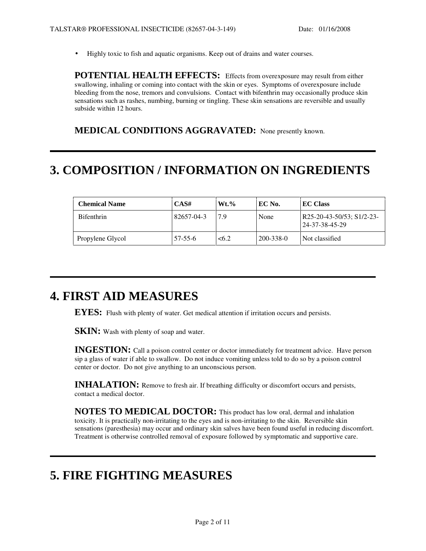• Highly toxic to fish and aquatic organisms. Keep out of drains and water courses.

**POTENTIAL HEALTH EFFECTS:** Effects from overexposure may result from either swallowing, inhaling or coming into contact with the skin or eyes. Symptoms of overexposure include bleeding from the nose, tremors and convulsions. Contact with bifenthrin may occasionally produce skin sensations such as rashes, numbing, burning or tingling. These skin sensations are reversible and usually subside within 12 hours.

**MEDICAL CONDITIONS AGGRAVATED:** None presently known.

## **3. COMPOSITION / INFORMATION ON INGREDIENTS**

| <b>Chemical Name</b> | CAS#          | $Wt.\%$ | EC No.    | <b>EC Class</b>                             |
|----------------------|---------------|---------|-----------|---------------------------------------------|
| <b>Bifenthrin</b>    | 82657-04-3    | 7.9     | None      | R25-20-43-50/53; S1/2-23-<br>24-37-38-45-29 |
| Propylene Glycol     | $57 - 55 - 6$ | < 6.2   | 200-338-0 | Not classified                              |

## **4. FIRST AID MEASURES**

**EYES:** Flush with plenty of water. Get medical attention if irritation occurs and persists.

**SKIN:** Wash with plenty of soap and water.

**INGESTION:** Call a poison control center or doctor immediately for treatment advice. Have person sip a glass of water if able to swallow. Do not induce vomiting unless told to do so by a poison control center or doctor. Do not give anything to an unconscious person.

**INHALATION:** Remove to fresh air. If breathing difficulty or discomfort occurs and persists, contact a medical doctor.

**NOTES TO MEDICAL DOCTOR:** This product has low oral, dermal and inhalation toxicity. It is practically non-irritating to the eyes and is non-irritating to the skin. Reversible skin sensations (paresthesia) may occur and ordinary skin salves have been found useful in reducing discomfort. Treatment is otherwise controlled removal of exposure followed by symptomatic and supportive care.

## **5. FIRE FIGHTING MEASURES**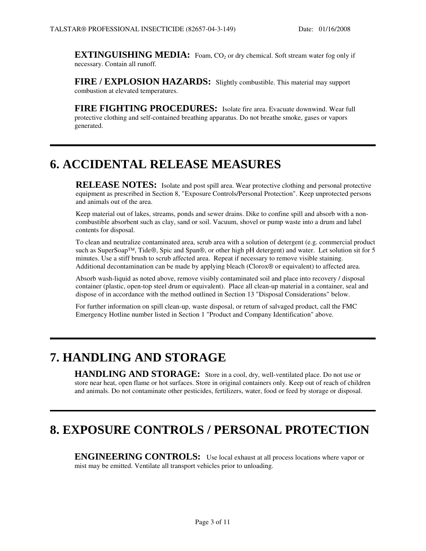**EXTINGUISHING MEDIA:** Foam, CO<sub>2</sub> or dry chemical. Soft stream water fog only if necessary. Contain all runoff.

**FIRE / EXPLOSION HAZARDS:** Slightly combustible. This material may support combustion at elevated temperatures.

**FIRE FIGHTING PROCEDURES:** Isolate fire area. Evacuate downwind. Wear full protective clothing and self-contained breathing apparatus. Do not breathe smoke, gases or vapors generated.

### **6. ACCIDENTAL RELEASE MEASURES**

RELEASE NOTES: Isolate and post spill area. Wear protective clothing and personal protective equipment as prescribed in Section 8, "Exposure Controls/Personal Protection". Keep unprotected persons and animals out of the area.

Keep material out of lakes, streams, ponds and sewer drains. Dike to confine spill and absorb with a noncombustible absorbent such as clay, sand or soil. Vacuum, shovel or pump waste into a drum and label contents for disposal.

To clean and neutralize contaminated area, scrub area with a solution of detergent (e.g. commercial product such as SuperSoap™, Tide®, Spic and Span®, or other high pH detergent) and water. Let solution sit for 5 minutes. Use a stiff brush to scrub affected area. Repeat if necessary to remove visible staining. Additional decontamination can be made by applying bleach (Clorox® or equivalent) to affected area.

Absorb wash-liquid as noted above, remove visibly contaminated soil and place into recovery / disposal container (plastic, open-top steel drum or equivalent). Place all clean-up material in a container, seal and dispose of in accordance with the method outlined in Section 13 "Disposal Considerations" below.

For further information on spill clean-up, waste disposal, or return of salvaged product, call the FMC Emergency Hotline number listed in Section 1 "Product and Company Identification" above.

## **7. HANDLING AND STORAGE**

**HANDLING AND STORAGE:** Store in a cool, dry, well-ventilated place. Do not use or store near heat, open flame or hot surfaces. Store in original containers only. Keep out of reach of children and animals. Do not contaminate other pesticides, fertilizers, water, food or feed by storage or disposal.

## **8. EXPOSURE CONTROLS / PERSONAL PROTECTION**

**ENGINEERING CONTROLS:** Use local exhaust at all process locations where vapor or mist may be emitted. Ventilate all transport vehicles prior to unloading.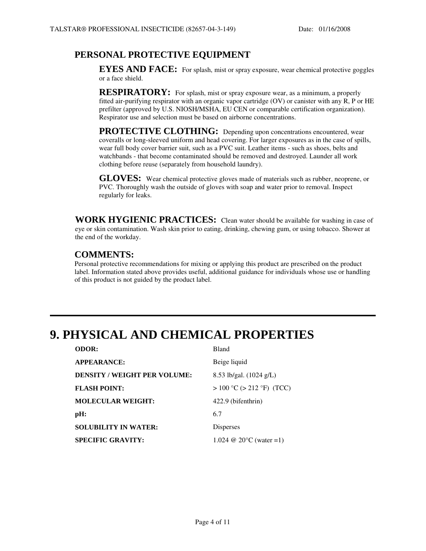### **PERSONAL PROTECTIVE EQUIPMENT**

**EYES AND FACE:** For splash, mist or spray exposure, wear chemical protective goggles or a face shield.

**RESPIRATORY:** For splash, mist or spray exposure wear, as a minimum, a properly fitted air-purifying respirator with an organic vapor cartridge (OV) or canister with any R, P or HE prefilter (approved by U.S. NIOSH/MSHA, EU CEN or comparable certification organization). Respirator use and selection must be based on airborne concentrations.

**PROTECTIVE CLOTHING:** Depending upon concentrations encountered, wear coveralls or long-sleeved uniform and head covering. For larger exposures as in the case of spills, wear full body cover barrier suit, such as a PVC suit. Leather items - such as shoes, belts and watchbands - that become contaminated should be removed and destroyed. Launder all work clothing before reuse (separately from household laundry).

**GLOVES:** Wear chemical protective gloves made of materials such as rubber, neoprene, or PVC. Thoroughly wash the outside of gloves with soap and water prior to removal. Inspect regularly for leaks.

**WORK HYGIENIC PRACTICES:** Clean water should be available for washing in case of eye or skin contamination. Wash skin prior to eating, drinking, chewing gum, or using tobacco. Shower at the end of the workday.

### **COMMENTS:**

Personal protective recommendations for mixing or applying this product are prescribed on the product label. Information stated above provides useful, additional guidance for individuals whose use or handling of this product is not guided by the product label.

## **9. PHYSICAL AND CHEMICAL PROPERTIES**

| <b>ODOR:</b>                        | Bland                             |
|-------------------------------------|-----------------------------------|
| <b>APPEARANCE:</b>                  | Beige liquid                      |
| <b>DENSITY / WEIGHT PER VOLUME:</b> | 8.53 lb/gal. $(1024 \text{ g/L})$ |
| <b>FLASH POINT:</b>                 | $> 100$ °C ( $> 212$ °F) (TCC)    |
| <b>MOLECULAR WEIGHT:</b>            | 422.9 (bifenthrin)                |
| pH:                                 | 6.7                               |
| <b>SOLUBILITY IN WATER:</b>         | Disperses                         |
| <b>SPECIFIC GRAVITY:</b>            | 1.024 @ 20 $\degree$ C (water =1) |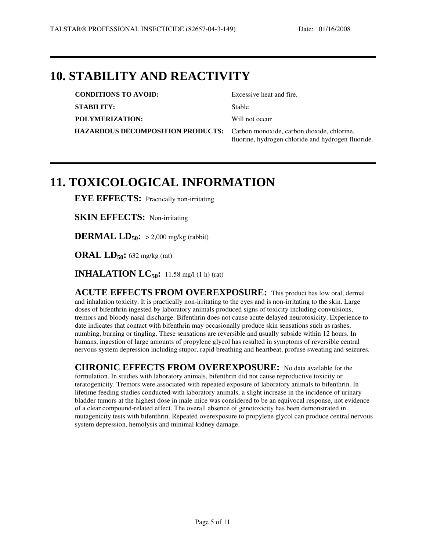### **10. STABILITY AND REACTIVITY**

| <b>CONDITIONS TO AVOID:</b>                                                  | Excessive heat and fire.                           |
|------------------------------------------------------------------------------|----------------------------------------------------|
| <b>STABILITY:</b>                                                            | Stable                                             |
| POLYMERIZATION:                                                              | Will not occur                                     |
| HAZARDOUS DECOMPOSITION PRODUCTS: Carbon monoxide, carbon dioxide, chlorine, | fluorine, hydrogen chloride and hydrogen fluoride. |

## **11. TOXICOLOGICAL INFORMATION**

**EYE EFFECTS:** Practically non-irritating

**SKIN EFFECTS:** Non-irritating

**DERMAL LD**<sub>50</sub>**:**  $>$  2,000 mg/kg (rabbit)

**ORAL LD50:** 632 mg/kg (rat)

**INHALATION LC50:** 11.58 mg/l (1 h) (rat)

**ACUTE EFFECTS FROM OVEREXPOSURE:** This product has low oral, dermal and inhalation toxicity. It is practically non-irritating to the eyes and is non-irritating to the skin. Large doses of bifenthrin ingested by laboratory animals produced signs of toxicity including convulsions, tremors and bloody nasal discharge. Bifenthrin does not cause acute delayed neurotoxicity. Experience to date indicates that contact with bifenthrin may occasionally produce skin sensations such as rashes, numbing, burning or tingling. These sensations are reversible and usually subside within 12 hours. In humans, ingestion of large amounts of propylene glycol has resulted in symptoms of reversible central nervous system depression including stupor, rapid breathing and heartbeat, profuse sweating and seizures.

**CHRONIC EFFECTS FROM OVEREXPOSURE:** No data available for the formulation. In studies with laboratory animals, bifenthrin did not cause reproductive toxicity or teratogenicity. Tremors were associated with repeated exposure of laboratory animals to bifenthrin. In lifetime feeding studies conducted with laboratory animals, a slight increase in the incidence of urinary bladder tumors at the highest dose in male mice was considered to be an equivocal response, not evidence of a clear compound-related effect. The overall absence of genotoxicity has been demonstrated in mutagenicity tests with bifenthrin. Repeated overexposure to propylene glycol can produce central nervous system depression, hemolysis and minimal kidney damage.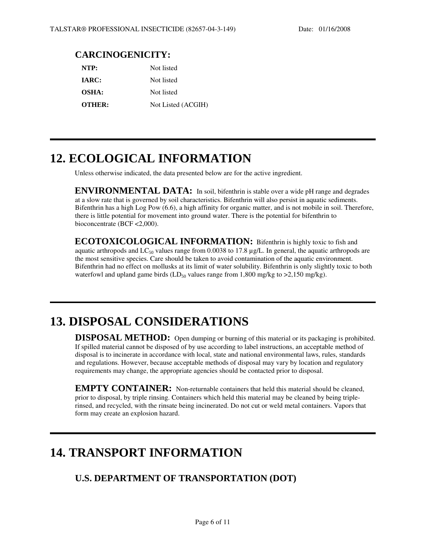### **CARCINOGENICITY:**

| NTP:          | Not listed         |
|---------------|--------------------|
| <b>IARC:</b>  | Not listed         |
| <b>OSHA:</b>  | Not listed         |
| <b>OTHER:</b> | Not Listed (ACGIH) |

## **12. ECOLOGICAL INFORMATION**

Unless otherwise indicated, the data presented below are for the active ingredient.

**ENVIRONMENTAL DATA:** In soil, bifenthrin is stable over a wide pH range and degrades at a slow rate that is governed by soil characteristics. Bifenthrin will also persist in aquatic sediments. Bifenthrin has a high Log Pow (6.6), a high affinity for organic matter, and is not mobile in soil. Therefore, there is little potential for movement into ground water. There is the potential for bifenthrin to bioconcentrate (BCF <2,000).

**ECOTOXICOLOGICAL INFORMATION:** Bifenthrin is highly toxic to fish and aquatic arthropods and  $LC_{50}$  values range from 0.0038 to 17.8  $\mu$ g/L. In general, the aquatic arthropods are the most sensitive species. Care should be taken to avoid contamination of the aquatic environment. Bifenthrin had no effect on mollusks at its limit of water solubility. Bifenthrin is only slightly toxic to both waterfowl and upland game birds  $(LD_{50}$  values range from 1,800 mg/kg to >2,150 mg/kg).

## **13. DISPOSAL CONSIDERATIONS**

**DISPOSAL METHOD:** Open dumping or burning of this material or its packaging is prohibited. If spilled material cannot be disposed of by use according to label instructions, an acceptable method of disposal is to incinerate in accordance with local, state and national environmental laws, rules, standards and regulations. However, because acceptable methods of disposal may vary by location and regulatory requirements may change, the appropriate agencies should be contacted prior to disposal.

**EMPTY CONTAINER:** Non-returnable containers that held this material should be cleaned, prior to disposal, by triple rinsing. Containers which held this material may be cleaned by being triplerinsed, and recycled, with the rinsate being incinerated. Do not cut or weld metal containers. Vapors that form may create an explosion hazard.

### **14. TRANSPORT INFORMATION**

### **U.S. DEPARTMENT OF TRANSPORTATION (DOT)**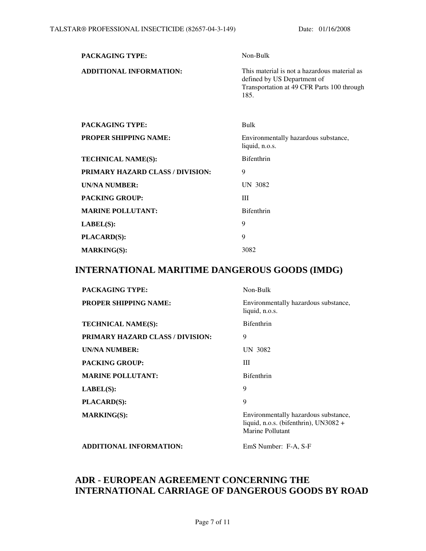| PACKAGING TYPE:                         | Non-Bulk                                                                                                                          |
|-----------------------------------------|-----------------------------------------------------------------------------------------------------------------------------------|
| <b>ADDITIONAL INFORMATION:</b>          | This material is not a hazardous material as<br>defined by US Department of<br>Transportation at 49 CFR Parts 100 through<br>185. |
| <b>PACKAGING TYPE:</b>                  | Bulk                                                                                                                              |
| <b>PROPER SHIPPING NAME:</b>            | Environmentally hazardous substance,<br>liquid, n.o.s.                                                                            |
| <b>TECHNICAL NAME(S):</b>               | <b>Bifenthrin</b>                                                                                                                 |
| <b>PRIMARY HAZARD CLASS / DIVISION:</b> | 9                                                                                                                                 |
| <b>UN/NA NUMBER:</b>                    | UN 3082                                                                                                                           |
| <b>PACKING GROUP:</b>                   | Ш                                                                                                                                 |
| <b>MARINE POLLUTANT:</b>                | <b>Bifenthrin</b>                                                                                                                 |
| LABEL(S):                               | 9                                                                                                                                 |
| <b>PLACARD(S):</b>                      | 9                                                                                                                                 |
| <b>MARKING(S):</b>                      | 3082                                                                                                                              |

### **INTERNATIONAL MARITIME DANGEROUS GOODS (IMDG)**

| <b>PACKAGING TYPE:</b>                  | Non-Bulk                                                                                            |
|-----------------------------------------|-----------------------------------------------------------------------------------------------------|
| <b>PROPER SHIPPING NAME:</b>            | Environmentally hazardous substance,<br>liquid, n.o.s.                                              |
| <b>TECHNICAL NAME(S):</b>               | <b>Bifenthrin</b>                                                                                   |
| <b>PRIMARY HAZARD CLASS / DIVISION:</b> | 9                                                                                                   |
| UN/NA NUMBER:                           | UN 3082                                                                                             |
| <b>PACKING GROUP:</b>                   | Ш                                                                                                   |
| <b>MARINE POLLUTANT:</b>                | <b>Bifenthrin</b>                                                                                   |
| LABEL(S):                               | 9                                                                                                   |
| <b>PLACARD(S):</b>                      | 9                                                                                                   |
| <b>MARKING(S):</b>                      | Environmentally hazardous substance,<br>liquid, n.o.s. (bifenthrin), $UN3082 +$<br>Marine Pollutant |
| <b>ADDITIONAL INFORMATION:</b>          | EmS Number: F-A, S-F                                                                                |

### **ADR - EUROPEAN AGREEMENT CONCERNING THE INTERNATIONAL CARRIAGE OF DANGEROUS GOODS BY ROAD**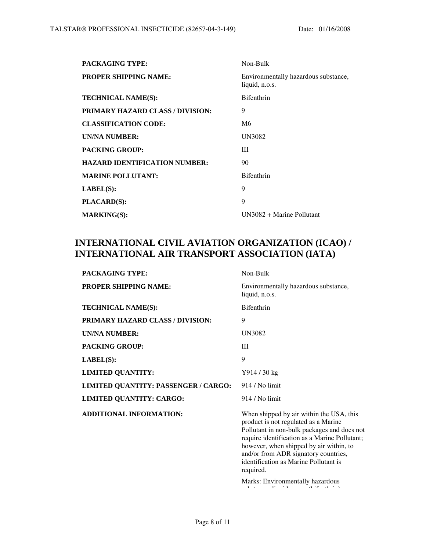| <b>PACKAGING TYPE:</b>                  | Non-Bulk                                               |
|-----------------------------------------|--------------------------------------------------------|
| <b>PROPER SHIPPING NAME:</b>            | Environmentally hazardous substance,<br>liquid, n.o.s. |
| <b>TECHNICAL NAME(S):</b>               | <b>Bifenthrin</b>                                      |
| <b>PRIMARY HAZARD CLASS / DIVISION:</b> | 9                                                      |
| <b>CLASSIFICATION CODE:</b>             | M6                                                     |
| <b>UN/NA NUMBER:</b>                    | <b>UN3082</b>                                          |
| <b>PACKING GROUP:</b>                   | Ш                                                      |
| <b>HAZARD IDENTIFICATION NUMBER:</b>    | 90                                                     |
| <b>MARINE POLLUTANT:</b>                | <b>Bifenthrin</b>                                      |
| LABEL(S):                               | 9                                                      |
| <b>PLACARD(S):</b>                      | 9                                                      |
| <b>MARKING(S):</b>                      | $UN3082 + Marine$ Pollutant                            |
|                                         |                                                        |

### **INTERNATIONAL CIVIL AVIATION ORGANIZATION (ICAO) / INTERNATIONAL AIR TRANSPORT ASSOCIATION (IATA)**

| <b>PACKAGING TYPE:</b>                      | Non-Bulk                                                                                                                                                                                                                                                                                                                                                      |
|---------------------------------------------|---------------------------------------------------------------------------------------------------------------------------------------------------------------------------------------------------------------------------------------------------------------------------------------------------------------------------------------------------------------|
| <b>PROPER SHIPPING NAME:</b>                | Environmentally hazardous substance,<br>liquid, n.o.s.                                                                                                                                                                                                                                                                                                        |
| <b>TECHNICAL NAME(S):</b>                   | <b>Bifenthrin</b>                                                                                                                                                                                                                                                                                                                                             |
| PRIMARY HAZARD CLASS / DIVISION:            | 9                                                                                                                                                                                                                                                                                                                                                             |
| <b>UN/NA NUMBER:</b>                        | UN3082                                                                                                                                                                                                                                                                                                                                                        |
| <b>PACKING GROUP:</b>                       | Ш                                                                                                                                                                                                                                                                                                                                                             |
| $\mathbf{LABEL}(S)$ :                       | 9                                                                                                                                                                                                                                                                                                                                                             |
| <b>LIMITED QUANTITY:</b>                    | Y914 / 30 kg                                                                                                                                                                                                                                                                                                                                                  |
| <b>LIMITED QUANTITY: PASSENGER / CARGO:</b> | 914 / No limit                                                                                                                                                                                                                                                                                                                                                |
| <b>LIMITED QUANTITY: CARGO:</b>             | 914 / No limit                                                                                                                                                                                                                                                                                                                                                |
| <b>ADDITIONAL INFORMATION:</b>              | When shipped by air within the USA, this<br>product is not regulated as a Marine<br>Pollutant in non-bulk packages and does not<br>require identification as a Marine Pollutant;<br>however, when shipped by air within, to<br>and/or from ADR signatory countries,<br>identification as Marine Pollutant is<br>required.<br>Marks: Environmentally hazardous |
|                                             | and consideration of the construction of the control of the                                                                                                                                                                                                                                                                                                   |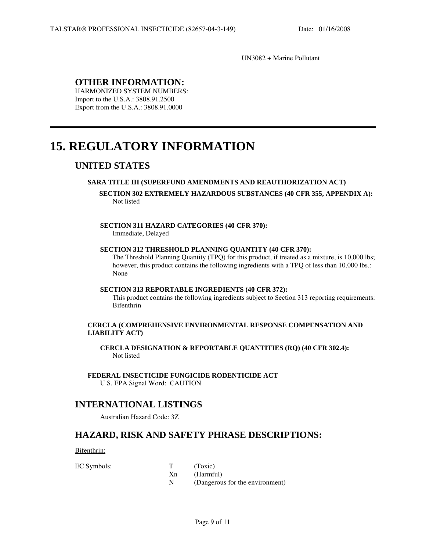UN3082 + Marine Pollutant

### **OTHER INFORMATION:**

HARMONIZED SYSTEM NUMBERS: Import to the U.S.A.: 3808.91.2500 Export from the U.S.A.: 3808.91.0000

## **15. REGULATORY INFORMATION**

### **UNITED STATES**

l

#### **SARA TITLE III (SUPERFUND AMENDMENTS AND REAUTHORIZATION ACT)**

#### **SECTION 302 EXTREMELY HAZARDOUS SUBSTANCES (40 CFR 355, APPENDIX A):** Not listed

#### **SECTION 311 HAZARD CATEGORIES (40 CFR 370):**

Immediate, Delayed

#### **SECTION 312 THRESHOLD PLANNING QUANTITY (40 CFR 370):**

The Threshold Planning Quantity (TPQ) for this product, if treated as a mixture, is 10,000 lbs; however, this product contains the following ingredients with a TPQ of less than 10,000 lbs.: None

#### **SECTION 313 REPORTABLE INGREDIENTS (40 CFR 372):**

This product contains the following ingredients subject to Section 313 reporting requirements: Bifenthrin

#### **CERCLA (COMPREHENSIVE ENVIRONMENTAL RESPONSE COMPENSATION AND LIABILITY ACT)**

**CERCLA DESIGNATION & REPORTABLE QUANTITIES (RQ) (40 CFR 302.4):** Not listed

**FEDERAL INSECTICIDE FUNGICIDE RODENTICIDE ACT** U.S. EPA Signal Word: CAUTION

### **INTERNATIONAL LISTINGS**

Australian Hazard Code: 3Z

### **HAZARD, RISK AND SAFETY PHRASE DESCRIPTIONS:**

Bifenthrin:

| EC Symbols: |    | (Toxic) |
|-------------|----|---------|
|             | Хn | (Harmfı |

(Harmful)

N (Dangerous for the environment)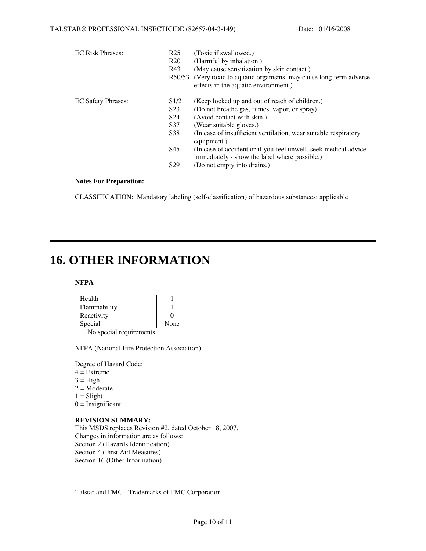| <b>EC Risk Phrases:</b>   | R <sub>25</sub> | (Toxic if swallowed.)                                                                                             |
|---------------------------|-----------------|-------------------------------------------------------------------------------------------------------------------|
|                           | R <sub>20</sub> | (Harmful by inhalation.)                                                                                          |
|                           | R43             | (May cause sensitization by skin contact.)                                                                        |
|                           | R50/53          | (Very toxic to aquatic organisms, may cause long-term adverse                                                     |
|                           |                 | effects in the aquatic environment.)                                                                              |
| <b>EC Safety Phrases:</b> | S1/2            | (Keep locked up and out of reach of children.)                                                                    |
|                           | S <sub>23</sub> | (Do not breathe gas, fumes, vapor, or spray)                                                                      |
|                           | S <sub>24</sub> | (Avoid contact with skin.)                                                                                        |
|                           | S37             | (Wear suitable gloves.)                                                                                           |
|                           | S38             | (In case of insufficient ventilation, wear suitable respiratory<br>equipment.)                                    |
|                           | S45             | (In case of accident or if you feel unwell, seek medical advice)<br>immediately - show the label where possible.) |
|                           | S <sub>29</sub> | (Do not empty into drains.)                                                                                       |

#### **Notes For Preparation:**

CLASSIFICATION: Mandatory labeling (self-classification) of hazardous substances: applicable

### **16. OTHER INFORMATION**

#### **NFPA**

| Health       |      |
|--------------|------|
| Flammability |      |
| Reactivity   |      |
| Special      | None |
| - -          |      |

No special requirements

NFPA (National Fire Protection Association)

Degree of Hazard Code:

- $4 =$ Extreme
- $3 = High$
- $2 = \text{Modern}$
- $1 =$ Slight
- $0 =$  Insignificant

#### **REVISION SUMMARY:**

This MSDS replaces Revision #2, dated October 18, 2007. Changes in information are as follows: Section 2 (Hazards Identification) Section 4 (First Aid Measures) Section 16 (Other Information)

Talstar and FMC - Trademarks of FMC Corporation